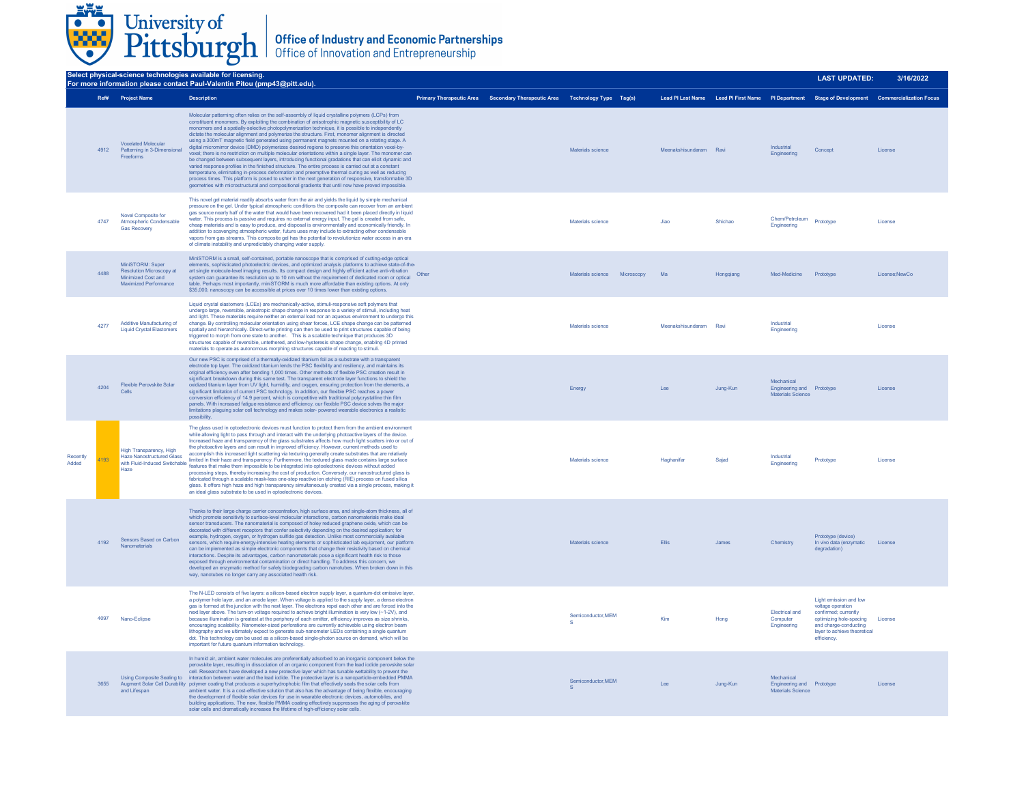

| Select physical-science technologies available for licensing.<br>For more information please contact Paul-Valentin Pitou (pmp43@pitt.edu). |      |                                                                                                      |                                                                                                                                                                                                                                                                                                                                                                                                                                                                                                                                                                                                                                                                                                                                                                                                                                                                                                                                                                                                                                                                                                                                                                                                                                                                         |  |                                                                            |                              | <b>LAST UPDATED:</b>   | 3/16/2022 |                                                              |                                                               |                                                                                                 |
|--------------------------------------------------------------------------------------------------------------------------------------------|------|------------------------------------------------------------------------------------------------------|-------------------------------------------------------------------------------------------------------------------------------------------------------------------------------------------------------------------------------------------------------------------------------------------------------------------------------------------------------------------------------------------------------------------------------------------------------------------------------------------------------------------------------------------------------------------------------------------------------------------------------------------------------------------------------------------------------------------------------------------------------------------------------------------------------------------------------------------------------------------------------------------------------------------------------------------------------------------------------------------------------------------------------------------------------------------------------------------------------------------------------------------------------------------------------------------------------------------------------------------------------------------------|--|----------------------------------------------------------------------------|------------------------------|------------------------|-----------|--------------------------------------------------------------|---------------------------------------------------------------|-------------------------------------------------------------------------------------------------|
|                                                                                                                                            |      | Ref# Project Name                                                                                    | <b>Description</b>                                                                                                                                                                                                                                                                                                                                                                                                                                                                                                                                                                                                                                                                                                                                                                                                                                                                                                                                                                                                                                                                                                                                                                                                                                                      |  | Primary Therapeutic Area Secondary Therapeutic Area Technology Type Tag(s) |                              |                        |           |                                                              |                                                               | Lead PI Last Name Lead PI First Name PI Department Stage of Development Commercialization Focus |
|                                                                                                                                            | 4912 | <b>Voxelated Molecular</b><br>Patterning in 3-Dimensional<br>Freeforms                               | Molecular patterning often relies on the self-assembly of liquid crystalline polymers (LCPs) from<br>constituent monomers. By exploiting the combination of anisotrophic magnetic susceptibility of LC<br>monomers and a spatially-selective photopolymerization technique, it is possible to independently<br>dictate the molecular alignment and polymerize the structure. First, monomer alignment is directed<br>using a 300mT magnetic field generated using permanent magnets mounted on a rotating stage. A<br>digital micromirror device (DMD) polymerizes desired regions to preserve this orientation voxel-by-<br>voxel; there is no restriction on multiple molecular orientations within a single layer. The monomer can<br>be changed between subsequent layers, introducing functional gradations that can elicit dynamic and<br>varied response profiles in the finished structure. The entire process is carried out at a constant<br>temperature, eliminating in-process deformation and preemptive thermal curing as well as reducing<br>process times. This platform is posed to usher in the next generation of responsive, transformable 3D<br>geometries with microstructural and compositional gradients that until now have proved impossible. |  |                                                                            | Materials science            | Meenakshisundaram Ravi |           | Industrial<br>Engineering                                    | Concept                                                       | License                                                                                         |
|                                                                                                                                            | 4747 | Novel Composite for<br>Atmospheric Condensable<br><b>Gas Recovery</b>                                | This novel gel material readily absorbs water from the air and yields the liquid by simple mechanical<br>pressure on the gel. Under typical atmospheric conditions the composite can recover from an ambient<br>gas source nearly half of the water that would have been recovered had it been placed directly in liquid<br>water. This process is passive and requires no external energy input. The gel is created from safe,<br>cheap materials and is easy to produce, and disposal is environmentally and economically friendly. In<br>addition to scavenging atmospheric water, future uses may include to extracting other condensable<br>vapors from gas streams. This composite gel has the potential to revolutionize water access in an era<br>of climate instability and unpredictably changing water supply.                                                                                                                                                                                                                                                                                                                                                                                                                                               |  |                                                                            | Materials science            | Jiao                   | Shichao   | Chem/Petroleum<br>Engineering                                | Prototype                                                     | License                                                                                         |
|                                                                                                                                            | 4488 | MiniSTORM: Super<br>Resolution Microscopy at<br>Minimized Cost and<br>Maximized Performance          | MiniSTORM is a small, self-contained, portable nanoscope that is comprised of cutting-edge optical<br>elements, sophisticated photoelectric devices, and optimized analysis platforms to achieve state-of-the-<br>art single molecule-level imaging results. Its compact design and highly efficient active anti-vibration<br>art single molecule-level imaging results. Its compact design and highly efficient active anti-vibration<br>system can guarantee its resolution up to 10 nm without the requirement of dedicated room or optical<br>table. Perhaps most importantly, miniSTORM is much more affordable than existing options. At only<br>\$35,000, nanoscopy can be accessible at prices over 10 times lower than existing options.                                                                                                                                                                                                                                                                                                                                                                                                                                                                                                                       |  |                                                                            | Materials science Microscopy | Ma                     | Hongqiang | Med-Medicine                                                 | Prototype                                                     | License;NewCo                                                                                   |
|                                                                                                                                            | 4277 | Additive Manufacturing of<br><b>Liquid Crystal Elastomers</b>                                        | Liquid crystal elastomers (LCEs) are mechanically-active, stimuli-responsive soft polymers that<br>undergo large, reversible, anisotropic shape change in response to a variety of stimuli, including heat<br>and light. These materials require neither an external load nor an aqueous environment to undergo this<br>change. By controlling molecular orientation using shear forces, LCE shape change can be patterned<br>spatially and hierarchically. Direct-write printing can then be used to print structures capable of being<br>triggered to morph from one state to another. This is a scalable technique that produces 3D<br>structures capable of reversible, untethered, and low-hysteresis shape change, enabling 4D printed<br>materials to operate as autonomous morphing structures capable of reacting to stimuli.                                                                                                                                                                                                                                                                                                                                                                                                                                  |  |                                                                            | Materials science            | Meenakshisundaram Ravi |           | Industrial<br>Engineering                                    |                                                               | License                                                                                         |
|                                                                                                                                            | 4204 | Flexible Perovskite Solar<br>Cells                                                                   | Our new PSC is comprised of a thermally-oxidized titanium foil as a substrate with a transparent<br>electrode top layer. The oxidized titanium lends the PSC flexibility and resiliency, and maintains its<br>original efficiency even after bending 1,000 times. Other methods of flexible PSC creation result in<br>significant breakdown during this same test. The transparent electrode layer functions to shield the<br>oxidized titanium layer from UV light, humidity, and oxygen, ensuring protection from the elements, a<br>significant limitation of current PSC technology. In addition, our flexible PSC reaches a power<br>conversion efficiency of 14.9 percent, which is competitive with traditional polycrystalline thin film<br>panels. With increased fatigue resistance and efficiency, our flexible PSC device solves the major<br>limitations plaguing solar cell technology and makes solar- powered wearable electronics a realistic<br>possibility.                                                                                                                                                                                                                                                                                          |  |                                                                            | Energy                       | Lee                    | Jung-Kun  | Mechanical<br>Engineering and Prototype<br>Materials Science |                                                               | License                                                                                         |
| Recently<br>Added                                                                                                                          | 1193 | High Transparency, High<br><b>Haze Nanostructured Glass</b><br>with Fluid-Induced Switchable<br>Haze | The glass used in optoelectronic devices must function to protect them from the ambient environment<br>while allowing light to pass through and interact with the underlying photoactive layers of the device.<br>Increased haze and transparency of the glass substrates affects how much light scatters into or out of<br>the photoactive layers and can result in improved efficiency. However, current methods used to<br>accomplish this increased light scattering via texturing generally create substrates that are relatively<br>limited in their haze and transparency. Furthermore, the textured glass made contains large surface<br>features that make them impossible to be integrated into optoelectronic devices without added<br>processing steps, thereby increasing the cost of production. Conversely, our nanostructured glass is<br>fabricated through a scalable mask-less one-step reactive ion etching (RIE) process on fused silica<br>glass. It offers high haze and high transparency simultaneously created via a single process, making it<br>an ideal glass substrate to be used in optoelectronic devices.                                                                                                                              |  |                                                                            | Materials science            | Haghanifar             | Sajad     | Industrial<br>Engineering                                    | Prototype                                                     | License                                                                                         |
|                                                                                                                                            | 4192 | Sensors Based on Carbon<br>Nanomaterials                                                             | Thanks to their large charge carrier concentration, high surface area, and single-atom thickness, all of<br>which promote sensitivity to surface-level molecular interactions, carbon nanomaterials make ideal<br>sensor transducers. The nanomaterial is composed of holey reduced graphene oxide, which can be<br>decorated with different receptors that confer selectivity depending on the desired application; for<br>example, hydrogen, oxygen, or hydrogen sulfide gas detection. Unlike most commercially available<br>sensors, which require energy-intensive heating elements or sophisticated lab equipment, our platform<br>can be implemented as simple electronic components that change their resistivity based on chemical<br>interactions. Despite its advantages, carbon nanomaterials pose a significant health risk to those<br>exposed through environmental contamination or direct handling. To address this concern, we<br>developed an enzymatic method for safely biodegrading carbon nanotubes. When broken down in this<br>way, nanotubes no longer carry any associated health risk.                                                                                                                                                      |  |                                                                            | Materials science            | Filis                  | .lames    | Chemistry                                                    | Prototype (device)<br>In vivo data (enzymatic<br>degradation) | License                                                                                         |

4097 Nano-Eclipse The N-LED consists of five layers: a silicon-based electron supply layer, a quantum-dot emissive layer, a polymer hole layer, and an anode layer. When voltage is applied to the supply layer, a dense electron gas is formed at the junction with the next layer. The electrons repel each other and are forced into the<br>next layer above. The turn-on voltage required to achieve bright illumination is very low (~1-2V), and<br>because illum dot. This technology can be used as a silicon-based single-photon source on demand, which will be important for future quantum information technology. Semiconductor,MEM S Connochdaoid, MEM Kim Kim Hong Electrical and Computer Engineering Light emission and low voltage operation confirmed; currently optimizing hole-spacing and charge-conducting layer to achieve theoretical efficiency. License 3655 Using Composite Sealing to Augment Solar Cell Durability and Lifespan In humid air, ambient water molecules are preferentially adsorbed to an inorganic component below the perception<br>perovskite layer, resulting in dissociation of an organic component from the lead iodide perovskite solar<br>cel Semiconductor,MEM S Lee Jung-Kun Mechanical Engineering and Materials Science Prototype License